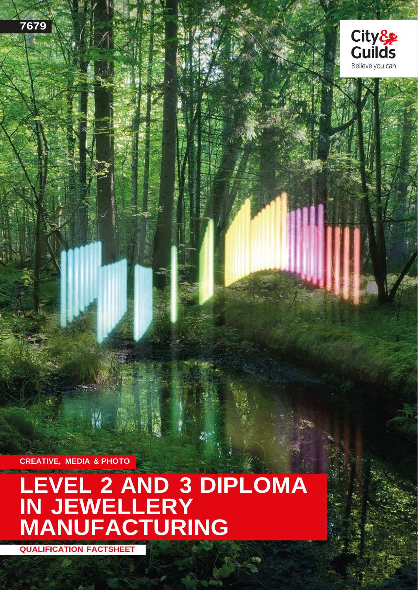



**CREATIVE, MEDIA & PHOTO**

# **LEVEL 2 AND 3 DIPLOMA IN JEWELLERY MANUFACTURING**

**QUALIFICATION FACTSHEET**